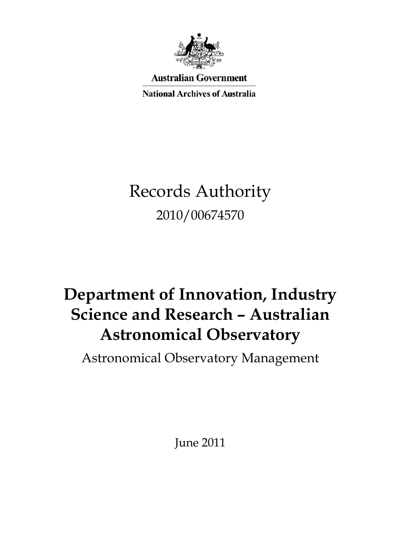

**Australian Government** 

**National Archives of Australia** 

# Records Authority 2010/00674570

# **Science and Research – Australian Department of Innovation, Industry Astronomical Observatory**

Astronomical Observatory Management

June 2011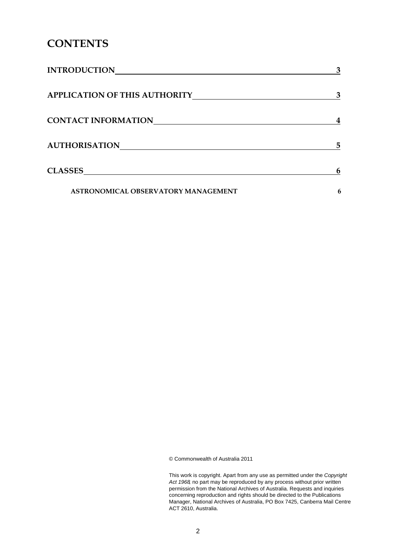## **CONTENTS**

| <b>INTRODUCTION</b>                  | 3 |
|--------------------------------------|---|
| <b>APPLICATION OF THIS AUTHORITY</b> | 3 |
| <b>CONTACT INFORMATION</b>           |   |
| <b>AUTHORISATION</b>                 | 5 |
| <b>CLASSES</b>                       | 6 |
| ASTRONOMICAL OBSERVATORY MANAGEMENT  | 6 |

© Commonwealth of Australia 2011

This work is copyright. Apart from any use as permitted under the *Copyright Act 1968,* no part may be reproduced by any process without prior written permission from the National Archives of Australia. Requests and inquiries concerning reproduction and rights should be directed to the Publications Manager, National Archives of Australia, PO Box 7425, Canberra Mail Centre ACT 2610, Australia.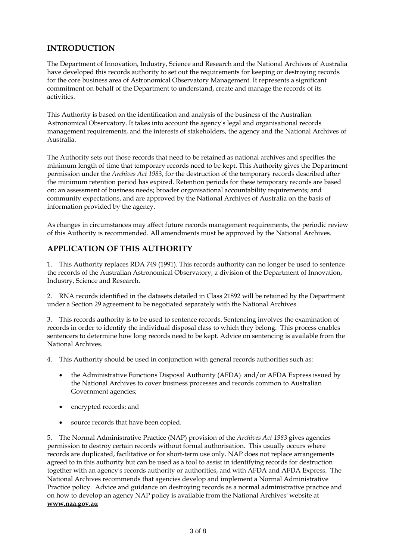## **INTRODUCTION**

 The Department of Innovation, Industry, Science and Research and the National Archives of Australia have developed this records authority to set out the requirements for keeping or destroying records for the core business area of Astronomical Observatory Management. It represents a significant commitment on behalf of the Department to understand, create and manage the records of its activities.

 This Authority is based on the identification and analysis of the business of the Australian Astronomical Observatory. It takes into account the agency's legal and organisational records management requirements, and the interests of stakeholders, the agency and the National Archives of Australia.

Australia.<br>The Authority sets out those records that need to be retained as national archives and specifies the minimum length of time that temporary records need to be kept. This Authority gives the Department permission under the *Archives Act 1983*, for the destruction of the temporary records described after the minimum retention period has expired. Retention periods for these temporary records are based on: an assessment of business needs; broader organisational accountability requirements; and community expectations, and are approved by the National Archives of Australia on the basis of information provided by the agency.

 As changes in circumstances may affect future records management requirements, the periodic review of this Authority is recommended. All amendments must be approved by the National Archives.

### **APPLICATION OF THIS AUTHORITY**

 1. This Authority replaces RDA 749 (1991). This records authority can no longer be used to sentence the records of the Australian Astronomical Observatory, a division of the Department of Innovation, Industry, Science and Research.

 2. RNA records identified in the datasets detailed in Class 21892 will be retained by the Department under a Section 29 agreement to be negotiated separately with the National Archives.

 3. This records authority is to be used to sentence records. Sentencing involves the examination of records in order to identify the individual disposal class to which they belong. This process enables sentencers to determine how long records need to be kept. Advice on sentencing is available from the National Archives.

4. This Authority should be used in conjunction with general records authorities such as:

- the Administrative Functions Disposal Authority (AFDA) and/or AFDA Express issued by the National Archives to cover business processes and records common to Australian Government agencies;
- encrypted records; and
- source records that have been copied.

 5. The Normal Administrative Practice (NAP) provision of the *Archives Act 1983* gives agencies permission to destroy certain records without formal authorisation. This usually occurs where records are duplicated, facilitative or for short-term use only. NAP does not replace arrangements agreed to in this authority but can be used as a tool to assist in identifying records for destruction together with an agency's records authority or authorities, and with AFDA and AFDA Express. The National Archives recommends that agencies develop and implement a Normal Administrative Practice policy. Advice and guidance on destroying records as a normal administrative practice and on how to develop an agency NAP policy is available from the National Archives' website at **[www.naa.gov.au](http://www.naa.gov.au/)**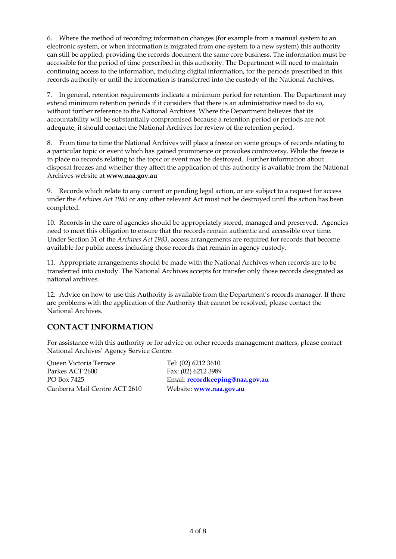6. Where the method of recording information changes (for example from a manual system to an electronic system, or when information is migrated from one system to a new system) this authority can still be applied, providing the records document the same core business. The information must be accessible for the period of time prescribed in this authority. The Department will need to maintain continuing access to the information, including digital information, for the periods prescribed in this records authority or until the information is transferred into the custody of the National Archives.

 7. In general, retention requirements indicate a minimum period for retention. The Department may extend minimum retention periods if it considers that there is an administrative need to do so, without further reference to the National Archives. Where the Department believes that its accountability will be substantially compromised because a retention period or periods are not adequate, it should contact the National Archives for review of the retention period.

 8. From time to time the National Archives will place a freeze on some groups of records relating to a particular topic or event which has gained prominence or provokes controversy. While the freeze is in place no records relating to the topic or event may be destroyed. Further information about disposal freezes and whether they affect the application of this authority is available from the National Archives website at **[www.naa.gov.au](http://www.naa.gov.au/)** 

 9. Records which relate to any current or pending legal action, or are subject to a request for access under the *Archives Act 1983* or any other relevant Act must not be destroyed until the action has been completed.

 10. Records in the care of agencies should be appropriately stored, managed and preserved. Agencies need to meet this obligation to ensure that the records remain authentic and accessible over time. Under Section 31 of the *Archives Act 1983*, access arrangements are required for records that become available for public access including those records that remain in agency custody.

 11. Appropriate arrangements should be made with the National Archives when records are to be transferred into custody. The National Archives accepts for transfer only those records designated as national archives.

 12. Advice on how to use this Authority is available from the Department's records manager. If there are problems with the application of the Authority that cannot be resolved, please contact the National Archives.

### **CONTACT INFORMATION**

 For assistance with this authority or for advice on other records management matters, please contact National Archives' Agency Service Centre.

Parkes ACT 2600 Fax: (02) 6212 3989 Canberra Mail Centre ACT 2610 Website: **[www.naa.gov.au](http://www.naa.gov.au/)**  Queen Victoria Terrace

Tel: (02) 6212 3610 PO Box 7425 Email: **[recordkeeping@naa.gov.au](mailto:recordkeeping@naa.gov.au)**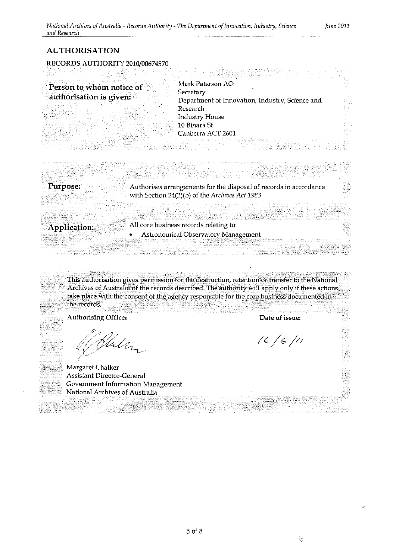#### **AUTHORISATION**

RECORDS AUTHORITY 2010/00674570<br>Records and the complete and distribution of the complete and the complete and the complete and the complete

| Person to whom notice of | Mark Paterson AO                                |  |
|--------------------------|-------------------------------------------------|--|
|                          | Secretary                                       |  |
| authorisation is given:  | Department of Innovation, Industry, Science and |  |
|                          | Research                                        |  |
|                          | Industry House                                  |  |
|                          | 10 Binara St                                    |  |
|                          | Canberra ACT 2601                               |  |
|                          |                                                 |  |
|                          |                                                 |  |

| Purpose:<br>Authorises arrangements for the disposal of records in accordance |  |
|-------------------------------------------------------------------------------|--|
| with Section 24(2)(b) of the Archives Act 1983                                |  |
|                                                                               |  |
|                                                                               |  |
|                                                                               |  |
| All core business records relating to:<br>Application:                        |  |
| Astronomical Observatory Management                                           |  |
|                                                                               |  |

NEW SERVERMAN NG PARTITIK NATIONAL MELANG TITULO NG PARTITIKA NA KETIKANG KARA NA KATI NA KATI NG KATI NA KATI NG KATI NG KATI NG KATI NG KATI NG KATI NG KATI NG KATI NG KATI NG KATI NG KATI NG KATI NG KATI NG KATI NG KATI

This authorisation gives permission for the destruction, retention or transfer to the National Archives of Australia of the records described. The authority will apply only if these actions take place with the consent of the agency responsible for the core business documented in the records.

meghouse Mode Potent Berthardt

Authorising Officer **Contact Authorising Officer Date of issue:** 

Malan

Margaret Chalker Assistant Director-General Government Information Management National Archives of Australia

 $16/6/11$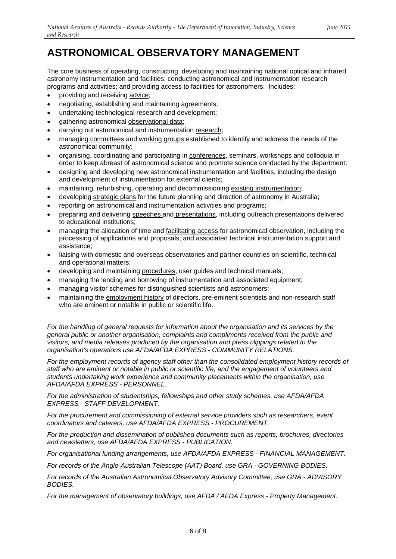# **ASTRONOMICAL OBSERVATORY MANAGEMENT**

 The core business of operating, constructing, developing and maintaining national optical and infrared programs and activities; and providing access to facilities for astronomers. Includes: astronomy instrumentation and facilities; conducting astronomical and instrumentation research

- providing and receiving advice;
- negotiating, establishing and maintaining agreements;
- undertaking technological research and development;
- gathering astronomical observational data;
- carrying out astronomical and instrumentation research;
- managing committees and working groups established to identify and address the needs of the astronomical community;
- organising, coordinating and participating in **conferences**, seminars, workshops and colloquia in order to keep abreast of astronomical science and promote science conducted by the department;
- and development of instrumentation for external clients; designing and developing new astronomical instrumentation and facilities, including the design
- maintaining, refurbishing, operating and decommissioning existing instrumentation;
- developing strategic plans for the future planning and direction of astronomy in Australia;
- reporting on astronomical and instrumentation activities and programs;
- preparing and delivering speeches and presentations, including outreach presentations delivered to educational institutions;
- managing the allocation of time and facilitating access for astronomical observation, including the processing of applications and proposals, and associated technical instrumentation support and assistance;
- liaising with domestic and overseas observatories and partner countries on scientific, technical and operational matters;
- developing and maintaining procedures, user guides and technical manuals;
- managing the lending and borrowing of instrumentation and associated equipment;
- managing visitor schemes for distinguished scientists and astronomers;
- maintaining the employment history of directors, pre-eminent scientists and non-research staff who are eminent or notable in public or scientific life.

 *For the handling of general requests for information about the organisation and its services by the general public or another organisation, complaints and compliments received from the public and visitors, and media releases produced by the organisation and press clippings related to the organisation's operations use AFDA/AFDA EXPRESS - COMMUNITY RELATIONS.* 

 *For the employment records of agency staff other than the consolidated employment history records of*  staff who are eminent or notable in public or scientific life, and the engagement of volunteers and *students undertaking work experience and community placements within the organisation, use AFDA/AFDA EXPRESS - PERSONNEL.* 

 *For the administration of studentships, fellowships and other study schemes, use AFDA/AFDA EXPRESS - STAFF DEVELOPMENT.* 

 *For the procurement and commissioning of external service providers such as researchers, event coordinators and caterers, use AFDA/AFDA EXPRESS - PROCUREMENT.* 

 *For the production and dissemination of published documents such as reports, brochures, directories and newsletters, use AFDA/AFDA EXPRESS - PUBLICATION.* 

 *For organisational funding arrangements, use AFDA/AFDA EXPRESS - FINANCIAL MANAGEMENT.* 

 *For records of the Anglo-Australian Telescope (AAT) Board, use GRA - GOVERNING BODIES.* 

 *For records of the Australian Astronomical Observatory Advisory Committee, use GRA - ADVISORY BODIES.* 

 *For the management of observatory buildings, use AFDA / AFDA Express - Property Management.*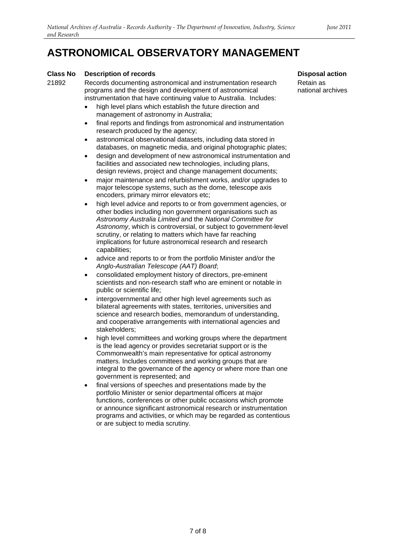# **ASTRONOMICAL OBSERVATORY MANAGEMENT**

#### **Class No Description of records**

21892 Records documenting astronomical and instrumentation research programs and the design and development of astronomical instrumentation that have continuing value to Australia. Includes:

- high level plans which establish the future direction and management of astronomy in Australia;
- final reports and findings from astronomical and instrumentation research produced by the agency;
- astronomical observational datasets, including data stored in databases, on magnetic media, and original photographic plates;
- • design and development of new astronomical instrumentation and design reviews, project and change management documents; facilities and associated new technologies, including plans,
- major maintenance and refurbishment works, and/or upgrades to major telescope systems, such as the dome, telescope axis encoders, primary mirror elevators etc;
- high level advice and reports to or from government agencies, or other bodies including non government organisations such as *Astronomy*, which is controversial, or subject to government-level scrutiny, or relating to matters which have far reaching implications for future astronomical research and research *Astronomy Australia Limited* and the *National Committee for*  capabilities;
- advice and reports to or from the portfolio Minister and/or the *Anglo-Australian Telescope (AAT) Board*;
- • consolidated employment history of directors, pre-eminent scientists and non-research staff who are eminent or notable in public or scientific life;
- intergovernmental and other high level agreements such as bilateral agreements with states, territories, universities and science and research bodies, memorandum of understanding, and cooperative arrangements with international agencies and stakeholders;
- high level committees and working groups where the department is the lead agency or provides secretariat support or is the matters. Includes committees and working groups that are integral to the governance of the agency or where more than one government is represented; and Commonwealth's main representative for optical astronomy
- final versions of speeches and presentations made by the portfolio Minister or senior departmental officers at major functions, conferences or other public occasions which promote programs and activities, or which may be regarded as contentious or are subject to media scrutiny. or announce significant astronomical research or instrumentation

**Disposal action** 

Retain as national archives